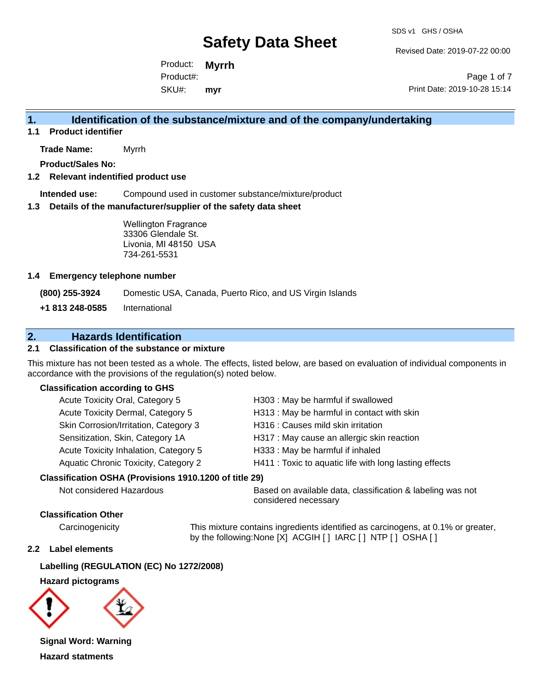Revised Date: 2019-07-22 00:00

Product: **Myrrh** SKU#: Product#: **myr**

Page 1 of 7 Print Date: 2019-10-28 15:14

# **1. Identification of the substance/mixture and of the company/undertaking**

**1.1 Product identifier**

**Trade Name:** Myrrh

**Product/Sales No:**

### **1.2 Relevant indentified product use**

**Intended use:** Compound used in customer substance/mixture/product

### **1.3 Details of the manufacturer/supplier of the safety data sheet**

Wellington Fragrance 33306 Glendale St. Livonia, MI 48150 USA 734-261-5531

### **1.4 Emergency telephone number**

**(800) 255-3924** Domestic USA, Canada, Puerto Rico, and US Virgin Islands

**+1 813 248-0585** International

# **2. Hazards Identification**

### **2.1 Classification of the substance or mixture**

This mixture has not been tested as a whole. The effects, listed below, are based on evaluation of individual components in accordance with the provisions of the regulation(s) noted below.

### **Classification according to GHS**

| H313: May be harmful in contact with skin              |
|--------------------------------------------------------|
|                                                        |
| H317 : May cause an allergic skin reaction             |
|                                                        |
| H411 : Toxic to aquatic life with long lasting effects |
|                                                        |

### **Classification OSHA (Provisions 1910.1200 of title 29)**

Not considered Hazardous **Based on available data, classification & labeling was not** considered necessary

### **Classification Other**

Carcinogenicity This mixture contains ingredients identified as carcinogens, at 0.1% or greater, by the following:None [X] ACGIH [ ] IARC [ ] NTP [ ] OSHA [ ]

### **2.2 Label elements**

### **Labelling (REGULATION (EC) No 1272/2008)**

### **Hazard pictograms**



**Signal Word: Warning Hazard statments**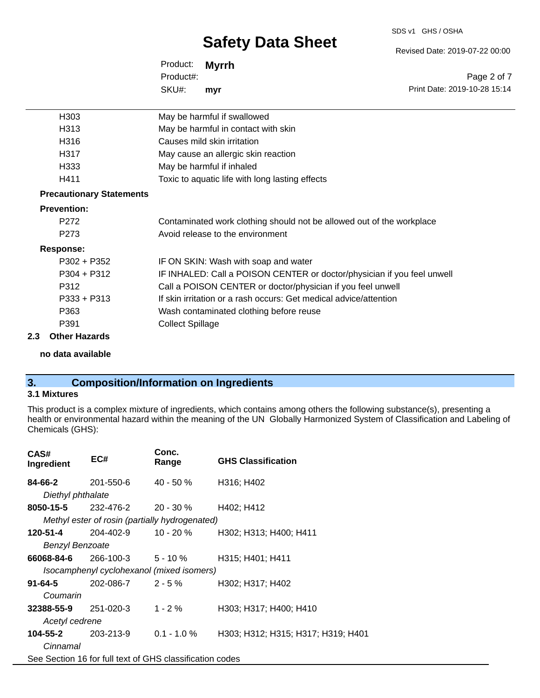#### SDS v1 GHS / OSHA

# **Safety Data Sheet**

Revised Date: 2019-07-22 00:00

Print Date: 2019-10-28 15:14

Page 2 of 7

Product: **Myrrh** SKU#: Product#: **myr**

| H303                            | May be harmful if swallowed                                             |
|---------------------------------|-------------------------------------------------------------------------|
| H313                            | May be harmful in contact with skin                                     |
| H316                            | Causes mild skin irritation                                             |
| H317                            | May cause an allergic skin reaction                                     |
| H333                            | May be harmful if inhaled                                               |
| H411                            | Toxic to aquatic life with long lasting effects                         |
| <b>Precautionary Statements</b> |                                                                         |
| <b>Prevention:</b>              |                                                                         |
| P <sub>272</sub>                | Contaminated work clothing should not be allowed out of the workplace   |
| P <sub>273</sub>                | Avoid release to the environment                                        |
| <b>Response:</b>                |                                                                         |
| $P302 + P352$                   | IF ON SKIN: Wash with soap and water                                    |
| $P304 + P312$                   | IF INHALED: Call a POISON CENTER or doctor/physician if you feel unwell |
| P312                            | Call a POISON CENTER or doctor/physician if you feel unwell             |
| $P333 + P313$                   | If skin irritation or a rash occurs: Get medical advice/attention       |
| P363                            | Wash contaminated clothing before reuse                                 |
| P391                            | <b>Collect Spillage</b>                                                 |
| Other Hemande                   |                                                                         |

### **2.3 Other Hazards**

### **no data available**

# **3. Composition/Information on Ingredients**

## **3.1 Mixtures**

This product is a complex mixture of ingredients, which contains among others the following substance(s), presenting a health or environmental hazard within the meaning of the UN Globally Harmonized System of Classification and Labeling of Chemicals (GHS):

| CAS#<br>Ingredient         | EC#                                                      | Conc.<br>Range | <b>GHS Classification</b>          |
|----------------------------|----------------------------------------------------------|----------------|------------------------------------|
| 84-66-2                    | 201-550-6                                                | $40 - 50 \%$   | H316; H402                         |
| Diethyl phthalate          |                                                          |                |                                    |
| <b>8050-15-5</b> 232-476-2 |                                                          | 20 - 30 %      | H402; H412                         |
|                            | Methyl ester of rosin (partially hydrogenated)           |                |                                    |
| 120-51-4                   | 204-402-9                                                | 10 - 20 %      | H302; H313; H400; H411             |
| Benzyl Benzoate            |                                                          |                |                                    |
| 66068-84-6                 | $266-100-3$ 5 - 10 %                                     |                | H315; H401; H411                   |
|                            | Isocamphenyl cyclohexanol (mixed isomers)                |                |                                    |
| 91-64-5                    | $202 - 086 - 7$ 2 - 5 %                                  |                | H302; H317; H402                   |
| Coumarin                   |                                                          |                |                                    |
| $32388 - 55 - 9$ 251-020-3 |                                                          | 1 - 2 $%$      | H303; H317; H400; H410             |
| Acetyl cedrene             |                                                          |                |                                    |
| 104-55-2                   | 203-213-9                                                | $0.1 - 1.0 \%$ | H303; H312; H315; H317; H319; H401 |
| Cinnamal                   |                                                          |                |                                    |
|                            | See Section 16 for full text of GHS classification codes |                |                                    |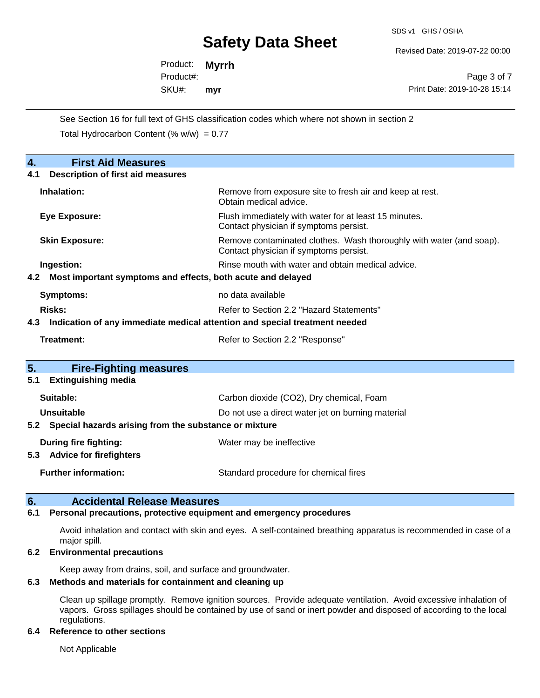SDS v1 GHS / OSHA

Revised Date: 2019-07-22 00:00

Product: **Myrrh** SKU#: Product#: **myr**

Page 3 of 7 Print Date: 2019-10-28 15:14

See Section 16 for full text of GHS classification codes which where not shown in section 2 Total Hydrocarbon Content (%  $w/w$ ) = 0.77

| <b>First Aid Measures</b><br>4.                                                   |                                                                                                               |  |  |
|-----------------------------------------------------------------------------------|---------------------------------------------------------------------------------------------------------------|--|--|
| <b>Description of first aid measures</b><br>4.1                                   |                                                                                                               |  |  |
| Inhalation:                                                                       | Remove from exposure site to fresh air and keep at rest.<br>Obtain medical advice.                            |  |  |
| Eye Exposure:                                                                     | Flush immediately with water for at least 15 minutes.<br>Contact physician if symptoms persist.               |  |  |
| <b>Skin Exposure:</b>                                                             | Remove contaminated clothes. Wash thoroughly with water (and soap).<br>Contact physician if symptoms persist. |  |  |
| Ingestion:                                                                        | Rinse mouth with water and obtain medical advice.                                                             |  |  |
| 4.2 Most important symptoms and effects, both acute and delayed                   |                                                                                                               |  |  |
| Symptoms:                                                                         | no data available                                                                                             |  |  |
| Risks:                                                                            | Refer to Section 2.2 "Hazard Statements"                                                                      |  |  |
| Indication of any immediate medical attention and special treatment needed<br>4.3 |                                                                                                               |  |  |
| <b>Treatment:</b>                                                                 | Refer to Section 2.2 "Response"                                                                               |  |  |
|                                                                                   |                                                                                                               |  |  |
| 5.<br><b>Fire-Fighting measures</b>                                               |                                                                                                               |  |  |
| <b>Extinguishing media</b><br>5.1                                                 |                                                                                                               |  |  |
| Suitable:                                                                         | Carbon dioxide (CO2), Dry chemical, Foam                                                                      |  |  |
| <b>Unsuitable</b>                                                                 | Do not use a direct water jet on burning material                                                             |  |  |
| Special hazards arising from the substance or mixture<br>5.2                      |                                                                                                               |  |  |
| During fire fighting:                                                             | Water may be ineffective                                                                                      |  |  |
| 5.3 Advice for firefighters                                                       |                                                                                                               |  |  |
| <b>Further information:</b>                                                       | Standard procedure for chemical fires                                                                         |  |  |

## **6. Accidental Release Measures**

### **6.1 Personal precautions, protective equipment and emergency procedures**

Avoid inhalation and contact with skin and eyes. A self-contained breathing apparatus is recommended in case of a major spill.

### **6.2 Environmental precautions**

Keep away from drains, soil, and surface and groundwater.

### **6.3 Methods and materials for containment and cleaning up**

Clean up spillage promptly. Remove ignition sources. Provide adequate ventilation. Avoid excessive inhalation of vapors. Gross spillages should be contained by use of sand or inert powder and disposed of according to the local regulations.

### **6.4 Reference to other sections**

Not Applicable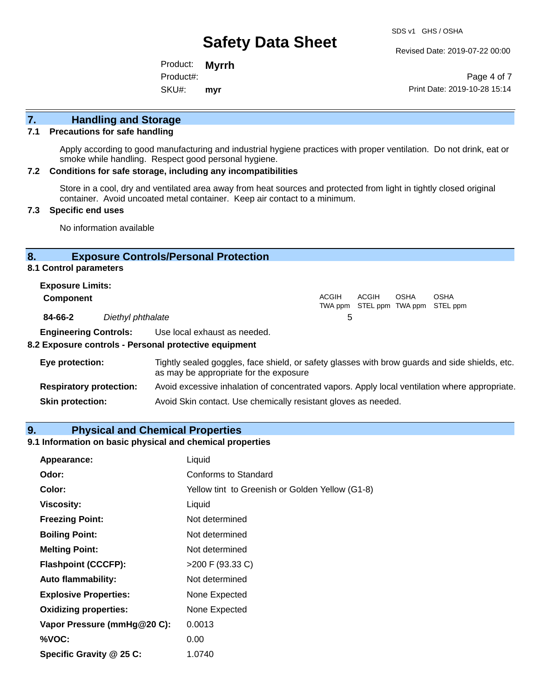Revised Date: 2019-07-22 00:00

Product: **Myrrh** SKU#: Product#: **myr**

Page 4 of 7 Print Date: 2019-10-28 15:14

# **7. Handling and Storage**

### **7.1 Precautions for safe handling**

Apply according to good manufacturing and industrial hygiene practices with proper ventilation. Do not drink, eat or smoke while handling. Respect good personal hygiene.

### **7.2 Conditions for safe storage, including any incompatibilities**

Store in a cool, dry and ventilated area away from heat sources and protected from light in tightly closed original container. Avoid uncoated metal container. Keep air contact to a minimum.

### **7.3 Specific end uses**

No information available

## **8. Exposure Controls/Personal Protection**

### **8.1 Control parameters**

| <b>Exposure Limits:</b> |                   |       |       |             |                                           |
|-------------------------|-------------------|-------|-------|-------------|-------------------------------------------|
| <b>Component</b>        |                   | ACGIH | ACGIH | <b>OSHA</b> | OSHA<br>TWA ppm STEL ppm TWA ppm STEL ppm |
| 84-66-2                 | Diethyl phthalate | b     |       |             |                                           |
|                         | _ _ _ _ _ _ _     |       |       |             |                                           |

**Engineering Controls:** Use local exhaust as needed.

### **8.2 Exposure controls - Personal protective equipment**

| Eye protection:                | Tightly sealed goggles, face shield, or safety glasses with brow guards and side shields, etc.<br>as may be appropriate for the exposure |
|--------------------------------|------------------------------------------------------------------------------------------------------------------------------------------|
| <b>Respiratory protection:</b> | Avoid excessive inhalation of concentrated vapors. Apply local ventilation where appropriate.                                            |
| <b>Skin protection:</b>        | Avoid Skin contact. Use chemically resistant gloves as needed.                                                                           |

### **9. Physical and Chemical Properties**

## **9.1 Information on basic physical and chemical properties**

| Appearance:                  | Liquid                                          |
|------------------------------|-------------------------------------------------|
| Odor:                        | Conforms to Standard                            |
| Color:                       | Yellow tint to Greenish or Golden Yellow (G1-8) |
| <b>Viscosity:</b>            | Liquid                                          |
| <b>Freezing Point:</b>       | Not determined                                  |
| <b>Boiling Point:</b>        | Not determined                                  |
| <b>Melting Point:</b>        | Not determined                                  |
| <b>Flashpoint (CCCFP):</b>   | >200 F (93.33 C)                                |
| <b>Auto flammability:</b>    | Not determined                                  |
| <b>Explosive Properties:</b> | None Expected                                   |
| <b>Oxidizing properties:</b> | None Expected                                   |
| Vapor Pressure (mmHg@20 C):  | 0.0013                                          |
| %VOC:                        | 0.00                                            |
| Specific Gravity @ 25 C:     | 1.0740                                          |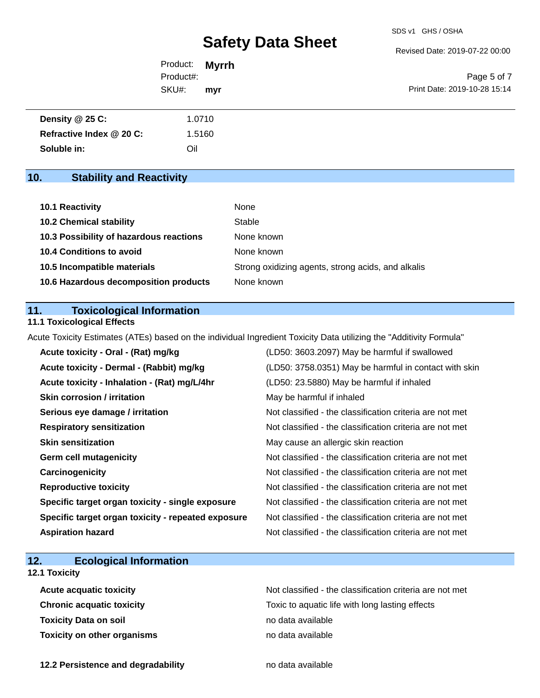Revised Date: 2019-07-22 00:00

| Product: <b>Myrrh</b> |     |                              |
|-----------------------|-----|------------------------------|
| Product#:             |     | Page 5 of 7                  |
| SKU#:                 | mvr | Print Date: 2019-10-28 15:14 |

| Density $@25C$ :         | 1.0710 |
|--------------------------|--------|
| Refractive Index @ 20 C: | 1.5160 |
| Soluble in:              | Oil    |

# **10. Stability and Reactivity**

| 10.1 Reactivity                         | None                                               |
|-----------------------------------------|----------------------------------------------------|
| <b>10.2 Chemical stability</b>          | Stable                                             |
| 10.3 Possibility of hazardous reactions | None known                                         |
| <b>10.4 Conditions to avoid</b>         | None known                                         |
| 10.5 Incompatible materials             | Strong oxidizing agents, strong acids, and alkalis |
| 10.6 Hazardous decomposition products   | None known                                         |

## **11. Toxicological Information**

# **11.1 Toxicological Effects**

Acute Toxicity Estimates (ATEs) based on the individual Ingredient Toxicity Data utilizing the "Additivity Formula"

| Acute toxicity - Oral - (Rat) mg/kg                | (LD50: 3603.2097) May be harmful if swallowed            |
|----------------------------------------------------|----------------------------------------------------------|
| Acute toxicity - Dermal - (Rabbit) mg/kg           | (LD50: 3758.0351) May be harmful in contact with skin    |
| Acute toxicity - Inhalation - (Rat) mg/L/4hr       | (LD50: 23.5880) May be harmful if inhaled                |
| <b>Skin corrosion / irritation</b>                 | May be harmful if inhaled                                |
| Serious eye damage / irritation                    | Not classified - the classification criteria are not met |
| <b>Respiratory sensitization</b>                   | Not classified - the classification criteria are not met |
| <b>Skin sensitization</b>                          | May cause an allergic skin reaction                      |
| <b>Germ cell mutagenicity</b>                      | Not classified - the classification criteria are not met |
| Carcinogenicity                                    | Not classified - the classification criteria are not met |
| <b>Reproductive toxicity</b>                       | Not classified - the classification criteria are not met |
| Specific target organ toxicity - single exposure   | Not classified - the classification criteria are not met |
| Specific target organ toxicity - repeated exposure | Not classified - the classification criteria are not met |
| <b>Aspiration hazard</b>                           | Not classified - the classification criteria are not met |

# **12. Ecological Information**

# **12.1 Toxicity**

| <b>Acute acquatic toxicity</b>     | Not classified - the classification criteria are not met |
|------------------------------------|----------------------------------------------------------|
| <b>Chronic acquatic toxicity</b>   | Toxic to aquatic life with long lasting effects          |
| <b>Toxicity Data on soil</b>       | no data available                                        |
| <b>Toxicity on other organisms</b> | no data available                                        |

**12.2 Persistence and degradability no data available**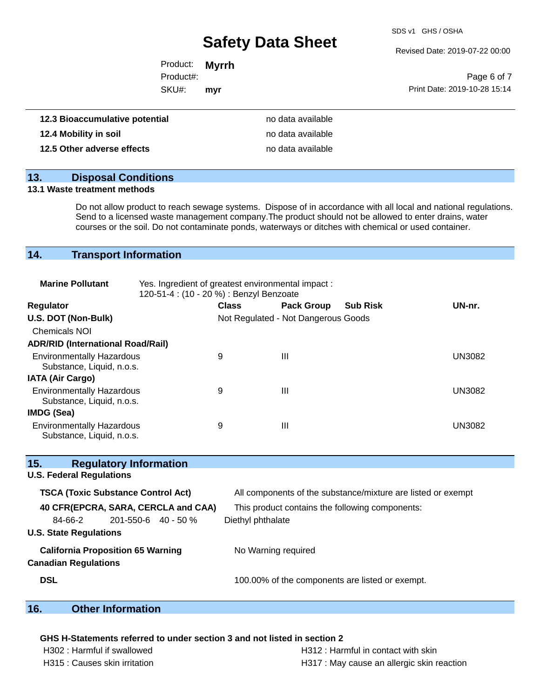SDS v1 GHS / OSHA

Revised Date: 2019-07-22 00:00

| Product: <b>Myrrh</b> |     |                              |
|-----------------------|-----|------------------------------|
| Product#:             |     | Page 6 of 7                  |
| SKU#:                 | mvr | Print Date: 2019-10-28 15:14 |
|                       |     |                              |

| 12.3 Bioaccumulative potential | no data available |
|--------------------------------|-------------------|
| 12.4 Mobility in soil          | no data available |
| 12.5 Other adverse effects     | no data available |

## **13. Disposal Conditions**

### **13.1 Waste treatment methods**

Do not allow product to reach sewage systems. Dispose of in accordance with all local and national regulations. Send to a licensed waste management company.The product should not be allowed to enter drains, water courses or the soil. Do not contaminate ponds, waterways or ditches with chemical or used container.

# **14. Transport Information**

| <b>Marine Pollutant</b>                                       | Yes. Ingredient of greatest environmental impact:<br>120-51-4 : (10 - 20 %) : Benzyl Benzoate |              |                                     |                 |               |
|---------------------------------------------------------------|-----------------------------------------------------------------------------------------------|--------------|-------------------------------------|-----------------|---------------|
| <b>Regulator</b>                                              |                                                                                               | <b>Class</b> | <b>Pack Group</b>                   | <b>Sub Risk</b> | UN-nr.        |
| U.S. DOT (Non-Bulk)                                           |                                                                                               |              | Not Regulated - Not Dangerous Goods |                 |               |
| <b>Chemicals NOI</b>                                          |                                                                                               |              |                                     |                 |               |
| <b>ADR/RID (International Road/Rail)</b>                      |                                                                                               |              |                                     |                 |               |
| <b>Environmentally Hazardous</b><br>Substance, Liquid, n.o.s. |                                                                                               | 9            | Ш                                   |                 | <b>UN3082</b> |
| <b>IATA (Air Cargo)</b>                                       |                                                                                               |              |                                     |                 |               |
| <b>Environmentally Hazardous</b><br>Substance, Liquid, n.o.s. |                                                                                               | 9            | Ш                                   |                 | <b>UN3082</b> |
| IMDG (Sea)                                                    |                                                                                               |              |                                     |                 |               |
| <b>Environmentally Hazardous</b><br>Substance, Liquid, n.o.s. |                                                                                               | 9            | Ш                                   |                 | UN3082        |

| 15.<br><b>Regulatory Information</b>      |                                                              |
|-------------------------------------------|--------------------------------------------------------------|
| <b>U.S. Federal Regulations</b>           |                                                              |
| <b>TSCA (Toxic Substance Control Act)</b> | All components of the substance/mixture are listed or exempt |
| 40 CFR(EPCRA, SARA, CERCLA and CAA)       | This product contains the following components:              |
| 84-66-2<br>$201 - 550 - 6$ 40 - 50 %      | Diethyl phthalate                                            |
| <b>U.S. State Regulations</b>             |                                                              |
| <b>California Proposition 65 Warning</b>  | No Warning required                                          |
| <b>Canadian Regulations</b>               |                                                              |
| <b>DSL</b>                                | 100.00% of the components are listed or exempt.              |
|                                           |                                                              |

# **16. Other Information**

### **GHS H-Statements referred to under section 3 and not listed in section 2**